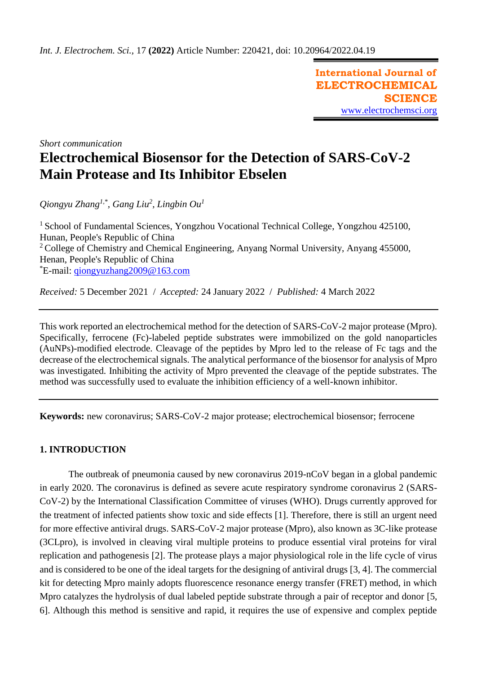**International Journal of ELECTROCHEMICAL SCIENCE** [www.electrochemsci.org](http://www.electrochemsci.org/)

*Short communication*

# **Electrochemical Biosensor for the Detection of SARS-CoV-2 Main Protease and Its Inhibitor Ebselen**

*Qiongyu Zhang1,\* , Gang Liu<sup>2</sup> , Lingbin Ou<sup>1</sup>*

<sup>1</sup> School of Fundamental Sciences, Yongzhou Vocational Technical College, Yongzhou 425100, Hunan, People's Republic of China <sup>2</sup> College of Chemistry and Chemical Engineering, Anyang Normal University, Anyang 455000, Henan, People's Republic of China \*E-mail: [qiongyuzhang2009@163.com](mailto:qiongyuzhang2009@163.com)

*Received:* 5 December 2021/ *Accepted:* 24 January 2022 / *Published:* 4 March 2022

This work reported an electrochemical method for the detection of SARS-CoV-2 major protease (Mpro). Specifically, ferrocene (Fc)-labeled peptide substrates were immobilized on the gold nanoparticles (AuNPs)-modified electrode. Cleavage of the peptides by Mpro led to the release of Fc tags and the decrease of the electrochemical signals. The analytical performance of the biosensor for analysis of Mpro was investigated. Inhibiting the activity of Mpro prevented the cleavage of the peptide substrates. The method was successfully used to evaluate the inhibition efficiency of a well-known inhibitor.

**Keywords:** new coronavirus; SARS-CoV-2 major protease; electrochemical biosensor; ferrocene

# **1. INTRODUCTION**

The outbreak of pneumonia caused by new coronavirus 2019-nCoV began in a global pandemic in early 2020. The coronavirus is defined as severe acute respiratory syndrome coronavirus 2 (SARS-CoV-2) by the International Classification Committee of viruses (WHO). Drugs currently approved for the treatment of infected patients show toxic and side effects [1]. Therefore, there is still an urgent need for more effective antiviral drugs. SARS-CoV-2 major protease (Mpro), also known as 3C-like protease (3CLpro), is involved in cleaving viral multiple proteins to produce essential viral proteins for viral replication and pathogenesis [2]. The protease plays a major physiological role in the life cycle of virus and is considered to be one of the ideal targets for the designing of antiviral drugs [3, 4]. The commercial kit for detecting Mpro mainly adopts fluorescence resonance energy transfer (FRET) method, in which Mpro catalyzes the hydrolysis of dual labeled peptide substrate through a pair of receptor and donor [5, 6]. Although this method is sensitive and rapid, it requires the use of expensive and complex peptide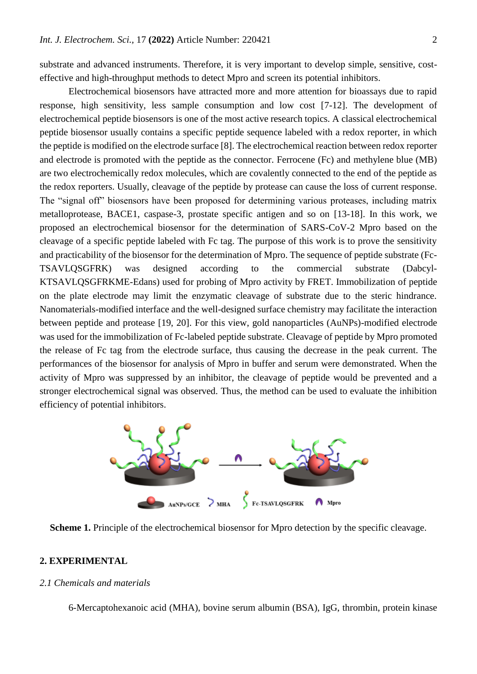substrate and advanced instruments. Therefore, it is very important to develop simple, sensitive, costeffective and high-throughput methods to detect Mpro and screen its potential inhibitors.

Electrochemical biosensors have attracted more and more attention for bioassays due to rapid response, high sensitivity, less sample consumption and low cost [7-12]. The development of electrochemical peptide biosensors is one of the most active research topics. A classical electrochemical peptide biosensor usually contains a specific peptide sequence labeled with a redox reporter, in which the peptide is modified on the electrode surface [8]. The electrochemical reaction between redox reporter and electrode is promoted with the peptide as the connector. Ferrocene (Fc) and methylene blue (MB) are two electrochemically redox molecules, which are covalently connected to the end of the peptide as the redox reporters. Usually, cleavage of the peptide by protease can cause the loss of current response. The "signal off" biosensors have been proposed for determining various proteases, including matrix metalloprotease, BACE1, caspase-3, prostate specific antigen and so on [13-18]. In this work, we proposed an electrochemical biosensor for the determination of SARS-CoV-2 Mpro based on the cleavage of a specific peptide labeled with Fc tag. The purpose of this work is to prove the sensitivity and practicability of the biosensor for the determination of Mpro. The sequence of peptide substrate (Fc-TSAVLQSGFRK) was designed according to the commercial substrate (Dabcyl-KTSAVLQSGFRKME-Edans) used for probing of Mpro activity by FRET. Immobilization of peptide on the plate electrode may limit the enzymatic cleavage of substrate due to the steric hindrance. Nanomaterials-modified interface and the well-designed surface chemistry may facilitate the interaction between peptide and protease [19, 20]. For this view, gold nanoparticles (AuNPs)-modified electrode was used for the immobilization of Fc-labeled peptide substrate. Cleavage of peptide by Mpro promoted the release of Fc tag from the electrode surface, thus causing the decrease in the peak current. The performances of the biosensor for analysis of Mpro in buffer and serum were demonstrated. When the activity of Mpro was suppressed by an inhibitor, the cleavage of peptide would be prevented and a stronger electrochemical signal was observed. Thus, the method can be used to evaluate the inhibition efficiency of potential inhibitors.



**Scheme 1.** Principle of the electrochemical biosensor for Mpro detection by the specific cleavage.

## **2. EXPERIMENTAL**

#### *2.1 Chemicals and materials*

6-Mercaptohexanoic acid (MHA), bovine serum albumin (BSA), IgG, thrombin, protein kinase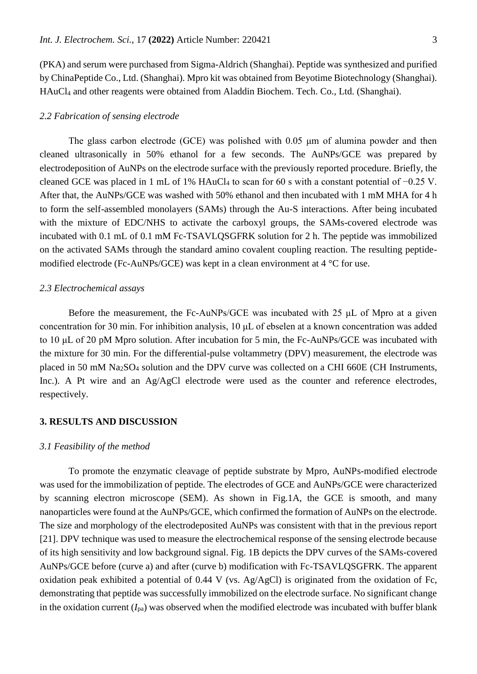(PKA) and serum were purchased from Sigma-Aldrich (Shanghai). Peptide was synthesized and purified by ChinaPeptide Co., Ltd. (Shanghai). Mpro kit was obtained from Beyotime Biotechnology (Shanghai). HAuCl<sup>4</sup> and other reagents were obtained from Aladdin Biochem. Tech. Co., Ltd. (Shanghai).

#### *2.2 Fabrication of sensing electrode*

The glass carbon electrode (GCE) was polished with 0.05 μm of alumina powder and then cleaned ultrasonically in 50% ethanol for a few seconds. The AuNPs/GCE was prepared by electrodeposition of AuNPs on the electrode surface with the previously reported procedure. Briefly, the cleaned GCE was placed in 1 mL of 1% HAuCl<sup>4</sup> to scan for 60 s with a constant potential of −0.25 V. After that, the AuNPs/GCE was washed with 50% ethanol and then incubated with 1 mM MHA for 4 h to form the self-assembled monolayers (SAMs) through the Au-S interactions. After being incubated with the mixture of EDC/NHS to activate the carboxyl groups, the SAMs-covered electrode was incubated with 0.1 mL of 0.1 mM Fc-TSAVLQSGFRK solution for 2 h. The peptide was immobilized on the activated SAMs through the standard amino covalent coupling reaction. The resulting peptidemodified electrode (Fc-AuNPs/GCE) was kept in a clean environment at 4 °C for use.

## *2.3 Electrochemical assays*

Before the measurement, the Fc-AuNPs/GCE was incubated with 25 μL of Mpro at a given concentration for 30 min. For inhibition analysis, 10 μL of ebselen at a known concentration was added to 10 μL of 20 pM Mpro solution. After incubation for 5 min, the Fc-AuNPs/GCE was incubated with the mixture for 30 min. For the differential-pulse voltammetry (DPV) measurement, the electrode was placed in 50 mM Na2SO<sup>4</sup> solution and the DPV curve was collected on a CHI 660E (CH Instruments, Inc.). A Pt wire and an Ag/AgCl electrode were used as the counter and reference electrodes, respectively.

## **3. RESULTS AND DISCUSSION**

#### *3.1 Feasibility of the method*

To promote the enzymatic cleavage of peptide substrate by Mpro, AuNPs-modified electrode was used for the immobilization of peptide. The electrodes of GCE and AuNPs/GCE were characterized by scanning electron microscope (SEM). As shown in Fig.1A, the GCE is smooth, and many nanoparticles were found at the AuNPs/GCE, which confirmed the formation of AuNPs on the electrode. The size and morphology of the electrodeposited AuNPs was consistent with that in the previous report [21]. DPV technique was used to measure the electrochemical response of the sensing electrode because of its high sensitivity and low background signal. Fig. 1B depicts the DPV curves of the SAMs-covered AuNPs/GCE before (curve a) and after (curve b) modification with Fc-TSAVLQSGFRK. The apparent oxidation peak exhibited a potential of 0.44 V (vs. Ag/AgCl) is originated from the oxidation of Fc, demonstrating that peptide was successfully immobilized on the electrode surface. No significant change in the oxidation current  $(I_{pa})$  was observed when the modified electrode was incubated with buffer blank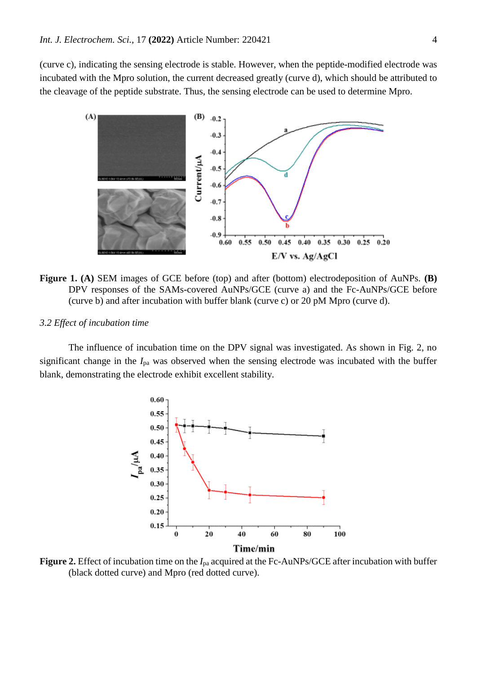(curve c), indicating the sensing electrode is stable. However, when the peptide-modified electrode was incubated with the Mpro solution, the current decreased greatly (curve d), which should be attributed to the cleavage of the peptide substrate. Thus, the sensing electrode can be used to determine Mpro.



**Figure 1. (A)** SEM images of GCE before (top) and after (bottom) electrodeposition of AuNPs. **(B)** DPV responses of the SAMs-covered AuNPs/GCE (curve a) and the Fc-AuNPs/GCE before (curve b) and after incubation with buffer blank (curve c) or 20 pM Mpro (curve d).

## *3.2 Effect of incubation time*

The influence of incubation time on the DPV signal was investigated. As shown in Fig. 2, no significant change in the *I*pa was observed when the sensing electrode was incubated with the buffer blank, demonstrating the electrode exhibit excellent stability.



**Figure 2.** Effect of incubation time on the *I*pa acquired at the Fc-AuNPs/GCE after incubation with buffer (black dotted curve) and Mpro (red dotted curve).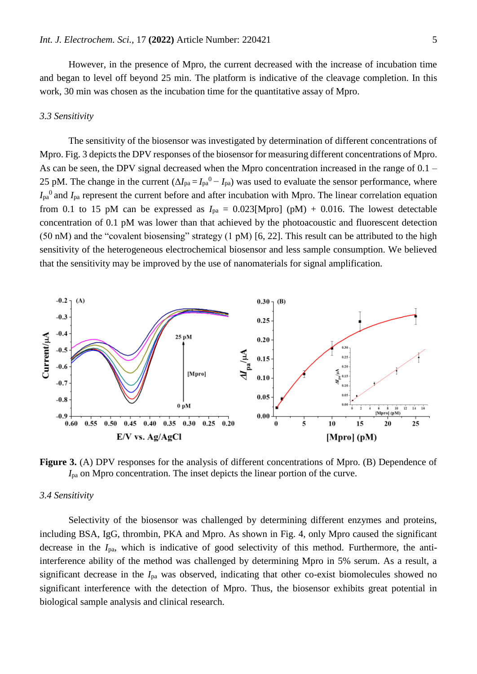However, in the presence of Mpro, the current decreased with the increase of incubation time and began to level off beyond 25 min. The platform is indicative of the cleavage completion. In this work, 30 min was chosen as the incubation time for the quantitative assay of Mpro.

#### *3.3 Sensitivity*

The sensitivity of the biosensor was investigated by determination of different concentrations of Mpro. Fig. 3 depicts the DPV responses of the biosensor for measuring different concentrations of Mpro. As can be seen, the DPV signal decreased when the Mpro concentration increased in the range of 0.1 – 25 pM. The change in the current  $(\Delta I_{pa} = I_{pa}^0 - I_{pa})$  was used to evaluate the sensor performance, where  $I_{pa}$ <sup>0</sup> and  $I_{pa}$  represent the current before and after incubation with Mpro. The linear correlation equation from 0.1 to 15 pM can be expressed as  $I_{pa} = 0.023$ [Mpro] (pM) + 0.016. The lowest detectable concentration of 0.1 pM was lower than that achieved by the photoacoustic and fluorescent detection (50 nM) and the "covalent biosensing" strategy (1 pM) [6, 22]. This result can be attributed to the high sensitivity of the heterogeneous electrochemical biosensor and less sample consumption. We believed that the sensitivity may be improved by the use of nanomaterials for signal amplification.



**Figure 3.** (A) DPV responses for the analysis of different concentrations of Mpro. (B) Dependence of *I*pa on Mpro concentration. The inset depicts the linear portion of the curve.

## *3.4 Sensitivity*

Selectivity of the biosensor was challenged by determining different enzymes and proteins, including BSA, IgG, thrombin, PKA and Mpro. As shown in Fig. 4, only Mpro caused the significant decrease in the *I*pa, which is indicative of good selectivity of this method. Furthermore, the antiinterference ability of the method was challenged by determining Mpro in 5% serum. As a result, a significant decrease in the *I*pa was observed, indicating that other co-exist biomolecules showed no significant interference with the detection of Mpro. Thus, the biosensor exhibits great potential in biological sample analysis and clinical research.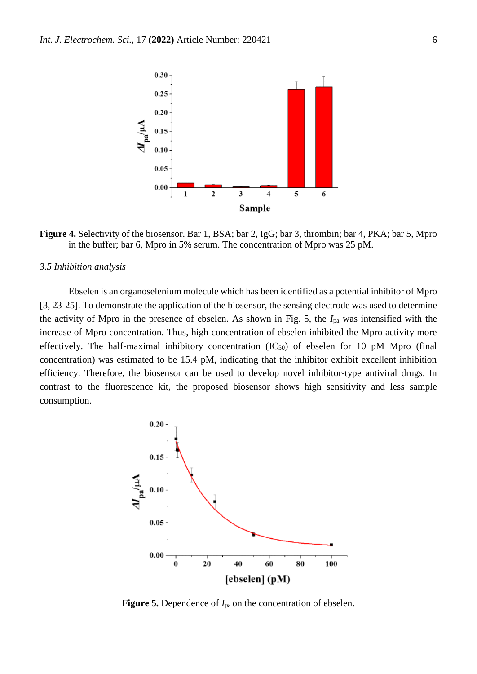

**Figure 4.** Selectivity of the biosensor. Bar 1, BSA; bar 2, IgG; bar 3, thrombin; bar 4, PKA; bar 5, Mpro in the buffer; bar 6, Mpro in 5% serum. The concentration of Mpro was 25 pM.

#### *3.5 Inhibition analysis*

Ebselen is an organoselenium molecule which has been identified as a potential inhibitor of Mpro [3, 23-25]. To demonstrate the application of the biosensor, the sensing electrode was used to determine the activity of Mpro in the presence of ebselen. As shown in Fig. 5, the *I*pa was intensified with the increase of Mpro concentration. Thus, high concentration of ebselen inhibited the Mpro activity more effectively. The half-maximal inhibitory concentration  $(IC_{50})$  of ebselen for 10 pM Mpro (final concentration) was estimated to be 15.4 pM, indicating that the inhibitor exhibit excellent inhibition efficiency. Therefore, the biosensor can be used to develop novel inhibitor-type antiviral drugs. In contrast to the fluorescence kit, the proposed biosensor shows high sensitivity and less sample consumption.



**Figure 5.** Dependence of *I*pa on the concentration of ebselen.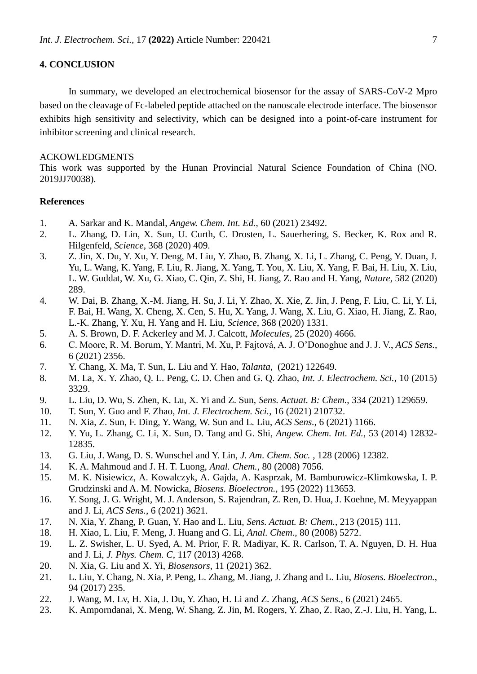## **4. CONCLUSION**

In summary, we developed an electrochemical biosensor for the assay of SARS-CoV-2 Mpro based on the cleavage of Fc-labeled peptide attached on the nanoscale electrode interface. The biosensor exhibits high sensitivity and selectivity, which can be designed into a point-of-care instrument for inhibitor screening and clinical research.

#### ACKOWLEDGMENTS

This work was supported by the Hunan Provincial Natural Science Foundation of China (NO. 2019JJ70038).

## **References**

- 1. A. Sarkar and K. Mandal, *Angew. Chem. Int. Ed.*, 60 (2021) 23492.
- 2. L. Zhang, D. Lin, X. Sun, U. Curth, C. Drosten, L. Sauerhering, S. Becker, K. Rox and R. Hilgenfeld, *Science*, 368 (2020) 409.
- 3. Z. Jin, X. Du, Y. Xu, Y. Deng, M. Liu, Y. Zhao, B. Zhang, X. Li, L. Zhang, C. Peng, Y. Duan, J. Yu, L. Wang, K. Yang, F. Liu, R. Jiang, X. Yang, T. You, X. Liu, X. Yang, F. Bai, H. Liu, X. Liu, L. W. Guddat, W. Xu, G. Xiao, C. Qin, Z. Shi, H. Jiang, Z. Rao and H. Yang, *Nature*, 582 (2020) 289.
- 4. W. Dai, B. Zhang, X.-M. Jiang, H. Su, J. Li, Y. Zhao, X. Xie, Z. Jin, J. Peng, F. Liu, C. Li, Y. Li, F. Bai, H. Wang, X. Cheng, X. Cen, S. Hu, X. Yang, J. Wang, X. Liu, G. Xiao, H. Jiang, Z. Rao, L.-K. Zhang, Y. Xu, H. Yang and H. Liu, *Science*, 368 (2020) 1331.
- 5. A. S. Brown, D. F. Ackerley and M. J. Calcott, *Molecules*, 25 (2020) 4666.
- 6. C. Moore, R. M. Borum, Y. Mantri, M. Xu, P. Fajtová, A. J. O'Donoghue and J. J. V., *ACS Sens.*, 6 (2021) 2356.
- 7. Y. Chang, X. Ma, T. Sun, L. Liu and Y. Hao, *Talanta*, (2021) 122649.
- 8. M. La, X. Y. Zhao, Q. L. Peng, C. D. Chen and G. Q. Zhao, *Int. J. Electrochem. Sci.*, 10 (2015) 3329.
- 9. L. Liu, D. Wu, S. Zhen, K. Lu, X. Yi and Z. Sun, *Sens. Actuat. B: Chem.*, 334 (2021) 129659.
- 10. T. Sun, Y. Guo and F. Zhao, *Int. J. Electrochem. Sci.*, 16 (2021) 210732.
- 11. N. Xia, Z. Sun, F. Ding, Y. Wang, W. Sun and L. Liu, *ACS Sens.*, 6 (2021) 1166.
- 12. Y. Yu, L. Zhang, C. Li, X. Sun, D. Tang and G. Shi, *Angew. Chem. Int. Ed.*, 53 (2014) 12832- 12835.
- 13. G. Liu, J. Wang, D. S. Wunschel and Y. Lin, *J. Am. Chem. Soc.* , 128 (2006) 12382.
- 14. K. A. Mahmoud and J. H. T. Luong, *Anal. Chem.*, 80 (2008) 7056.
- 15. M. K. Nisiewicz, A. Kowalczyk, A. Gajda, A. Kasprzak, M. Bamburowicz-Klimkowska, I. P. Grudzinski and A. M. Nowicka, *Biosens. Bioelectron.*, 195 (2022) 113653.
- 16. Y. Song, J. G. Wright, M. J. Anderson, S. Rajendran, Z. Ren, D. Hua, J. Koehne, M. Meyyappan and J. Li, *ACS Sens.*, 6 (2021) 3621.
- 17. N. Xia, Y. Zhang, P. Guan, Y. Hao and L. Liu, *Sens. Actuat. B: Chem.*, 213 (2015) 111.
- 18. H. Xiao, L. Liu, F. Meng, J. Huang and G. Li, *Anal. Chem.*, 80 (2008) 5272.
- 19. L. Z. Swisher, L. U. Syed, A. M. Prior, F. R. Madiyar, K. R. Carlson, T. A. Nguyen, D. H. Hua and J. Li, *J. Phys. Chem. C*, 117 (2013) 4268.
- 20. N. Xia, G. Liu and X. Yi, *Biosensors*, 11 (2021) 362.
- 21. L. Liu, Y. Chang, N. Xia, P. Peng, L. Zhang, M. Jiang, J. Zhang and L. Liu, *Biosens. Bioelectron.*, 94 (2017) 235.
- 22. J. Wang, M. Lv, H. Xia, J. Du, Y. Zhao, H. Li and Z. Zhang, *ACS Sens.*, 6 (2021) 2465.
- 23. K. Amporndanai, X. Meng, W. Shang, Z. Jin, M. Rogers, Y. Zhao, Z. Rao, Z.-J. Liu, H. Yang, L.